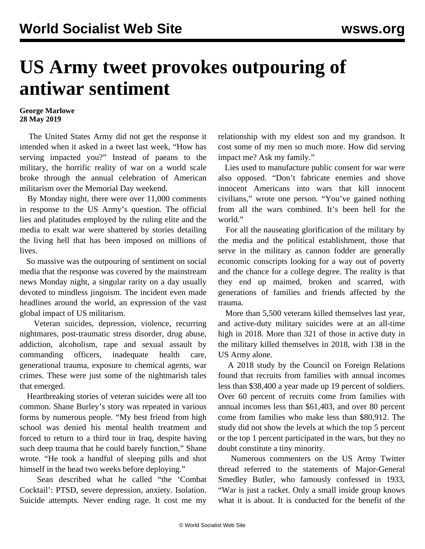## **US Army tweet provokes outpouring of antiwar sentiment**

## **George Marlowe 28 May 2019**

 The United States Army did not get the response it intended when it asked in a tweet last week, "How has serving impacted you?" Instead of paeans to the military, the horrific reality of war on a world scale broke through the annual celebration of American militarism over the Memorial Day weekend.

 By Monday night, there were over 11,000 comments in response to the US Army's question. The official lies and platitudes employed by the ruling elite and the media to exalt war were shattered by stories detailing the living hell that has been imposed on millions of lives.

 So massive was the outpouring of sentiment on social media that [the response](/en/articles/2019/05/27/army-m27.html) was covered by the mainstream news Monday night, a singular rarity on a day usually devoted to mindless jingoism. The incident even made headlines around the world, an expression of the vast global impact of US militarism.

 Veteran suicides, depression, violence, recurring nightmares, post-traumatic stress disorder, drug abuse, addiction, alcoholism, rape and sexual assault by commanding officers, inadequate health care, generational trauma, exposure to chemical agents, war crimes. These were just some of the nightmarish tales that emerged.

 Heartbreaking stories of veteran suicides were all too common. Shane Burley's story was repeated in various forms by numerous people. "My best friend from high school was denied his mental health treatment and forced to return to a third tour in Iraq, despite having such deep trauma that he could barely function," Shane wrote. "He took a handful of sleeping pills and shot himself in the head two weeks before deploying."

 Sean described what he called "the 'Combat Cocktail': PTSD, severe depression, anxiety. Isolation. Suicide attempts. Never ending rage. It cost me my relationship with my eldest son and my grandson. It cost some of my men so much more. How did serving impact me? Ask my family."

 Lies used to manufacture public consent for war were also opposed. "Don't fabricate enemies and shove innocent Americans into wars that kill innocent civilians," wrote one person. "You've gained nothing from all the wars combined. It's been hell for the world."

 For all the nauseating glorification of the military by the media and the political establishment, those that serve in the military as cannon fodder are generally economic conscripts looking for a way out of poverty and the chance for a college degree. The reality is that they end up maimed, broken and scarred, with generations of families and friends affected by the trauma.

 More than 5,500 veterans killed themselves last year, and active-duty military suicides were at an all-time high in 2018. More than 321 of those in active duty in the military killed themselves in 2018, with 138 in the US Army alone.

 A 2018 study by the Council on Foreign Relations found that recruits from families with annual incomes less than \$38,400 a year made up 19 percent of soldiers. Over 60 percent of recruits come from families with annual incomes less than \$61,403, and over 80 percent come from families who make less than \$80,912. The study did not show the levels at which the top 5 percent or the top 1 percent participated in the wars, but they no doubt constitute a tiny minority.

 Numerous commenters on the US Army Twitter thread referred to the statements of Major-General Smedley Butler, who famously confessed in 1933, "War is just a racket. Only a small inside group knows what it is about. It is conducted for the benefit of the